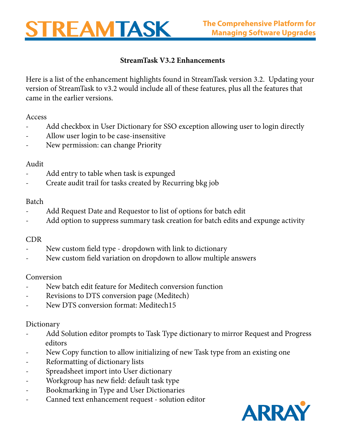# REAMTASK

## **StreamTask V3.2 Enhancements**

Here is a list of the enhancement highlights found in StreamTask version 3.2. Updating your version of StreamTask to v3.2 would include all of these features, plus all the features that came in the earlier versions.

#### Access

- Add checkbox in User Dictionary for SSO exception allowing user to login directly
- Allow user login to be case-insensitive
- New permission: can change Priority

## Audit

- Add entry to table when task is expunged
- Create audit trail for tasks created by Recurring bkg job

#### Batch

- Add Request Date and Requestor to list of options for batch edit
- Add option to suppress summary task creation for batch edits and expunge activity

## CDR

- New custom field type dropdown with link to dictionary
- New custom field variation on dropdown to allow multiple answers

## Conversion

- New batch edit feature for Meditech conversion function
- Revisions to DTS conversion page (Meditech)
- New DTS conversion format: Meditech15

#### Dictionary

- Add Solution editor prompts to Task Type dictionary to mirror Request and Progress editors
- New Copy function to allow initializing of new Task type from an existing one
- Reformatting of dictionary lists
- Spreadsheet import into User dictionary
- Workgroup has new field: default task type
- Bookmarking in Type and User Dictionaries
- Canned text enhancement request solution editor